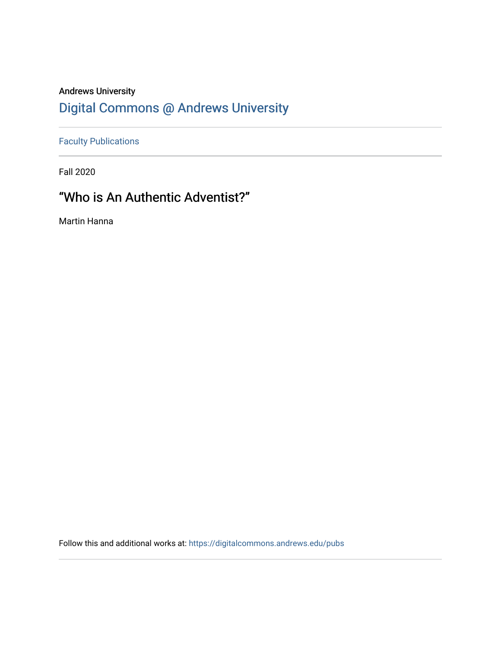## Andrews University [Digital Commons @ Andrews University](https://digitalcommons.andrews.edu/)

[Faculty Publications](https://digitalcommons.andrews.edu/pubs)

Fall 2020

# "Who is An Authentic Adventist?"

Martin Hanna

Follow this and additional works at: [https://digitalcommons.andrews.edu/pubs](https://digitalcommons.andrews.edu/pubs?utm_source=digitalcommons.andrews.edu%2Fpubs%2F2318&utm_medium=PDF&utm_campaign=PDFCoverPages)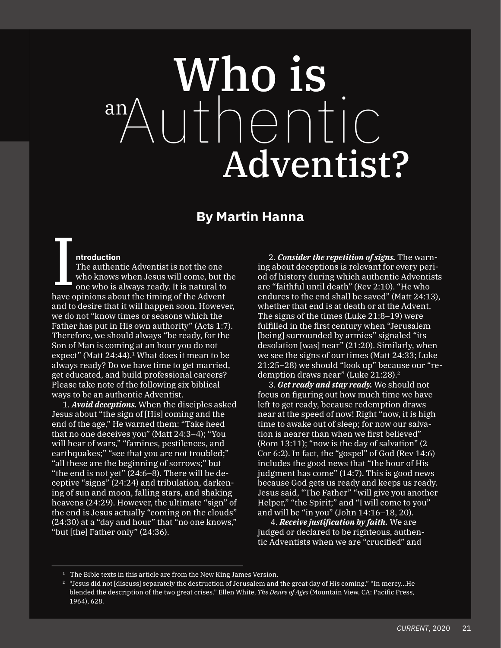# Who is Authentic Adventist? an

### **By Martin Hanna**

#### **ntroduction**

The authentic Adventist is not the one who knows when Jesus will come, but the one who is always ready. It is natural to have opinions about the timing of the Advent and to desire that it will happen soon. However, we do not "know times or seasons which the Father has put in His own authority" (Acts 1:7). Therefore, we should always "be ready, for the Son of Man is coming at an hour you do not expect" (Matt  $24:44$ ).<sup>1</sup> What does it mean to be always ready? Do we have time to get married, get educated, and build professional careers? Please take note of the following six biblical ways to be an authentic Adventist. I

1. *Avoid deceptions.* When the disciples asked Jesus about "the sign of [His] coming and the end of the age," He warned them: "Take heed that no one deceives you" (Matt 24:3–4); "You will hear of wars," "famines, pestilences, and earthquakes;" "see that you are not troubled;" "all these are the beginning of sorrows;" but "the end is not yet" (24:6–8). There will be deceptive "signs" (24:24) and tribulation, darkening of sun and moon, falling stars, and shaking heavens (24:29). However, the ultimate "sign" of the end is Jesus actually "coming on the clouds" (24:30) at a "day and hour" that "no one knows," "but [the] Father only" (24:36).

2. *Consider the repetition of signs.* The warning about deceptions is relevant for every period of history during which authentic Adventists are "faithful until death" (Rev 2:10). "He who endures to the end shall be sayed" (Matt  $24:13$ ), whether that end is at death or at the Advent. The signs of the times (Luke 21:8–19) were fulfilled in the first century when "Jerusalem [being] surrounded by armies" signaled "its desolation [was] near" (21:20). Similarly, when we see the signs of our times (Matt 24:33; Luke 21:25–28) we should "look up" because our "redemption draws near" (Luke 21:28).<sup>2</sup>

3. *Get ready and stay ready.* We should not focus on figuring out how much time we have left to get ready, because redemption draws near at the speed of now! Right "now, it is high time to awake out of sleep; for now our salvation is nearer than when we first believed" (Rom 13:11); "now is the day of salvation" (2 Cor 6:2). In fact, the "gospel" of God (Rev 14:6) includes the good news that "the hour of His judgment has come" (14:7). This is good news because God gets us ready and keeps us ready. Jesus said, "The Father" "will give you another Helper," "the Spirit;" and "I will come to you" and will be "in you" (John 14:16–18, 20).

 4. *Receive justification by faith.* We are judged or declared to be righteous, authentic Adventists when we are "crucified" and

 $1$  The Bible texts in this article are from the New King James Version.

 $2$  "Jesus did not [discuss] separately the destruction of Jerusalem and the great day of His coming." "In mercy...He blended the description of the two great crises." Ellen White, *The Desire of Ages* (Mountain View, CA: Pacific Press, 1964), 628.